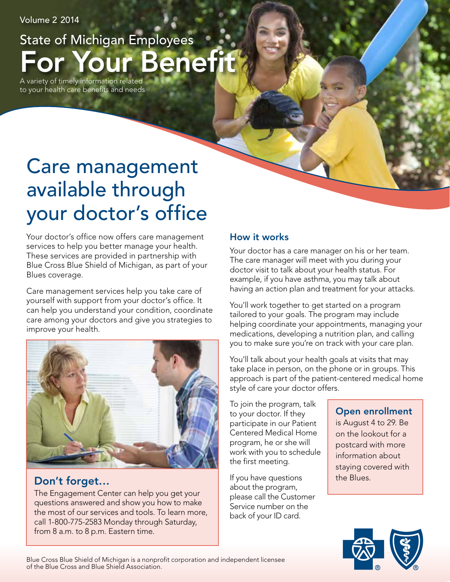Volume 2 2014

# For Your Benefit State of Michigan Employees

A variety of timely information related to your health care benefits and needs

# Care management available through your doctor's office

Your doctor's office now offers care management services to help you better manage your health. These services are provided in partnership with Blue Cross Blue Shield of Michigan, as part of your Blues coverage.

Care management services help you take care of yourself with support from your doctor's office. It can help you understand your condition, coordinate care among your doctors and give you strategies to improve your health.



## Don't forget…

The Engagement Center can help you get your questions answered and show you how to make the most of our services and tools. To learn more, call 1-800-775-2583 Monday through Saturday, from 8 a.m. to 8 p.m. Eastern time.

### How it works

Your doctor has a care manager on his or her team. The care manager will meet with you during your doctor visit to talk about your health status. For example, if you have asthma, you may talk about having an action plan and treatment for your attacks.

You'll work together to get started on a program tailored to your goals. The program may include helping coordinate your appointments, managing your medications, developing a nutrition plan, and calling you to make sure you're on track with your care plan.

You'll talk about your health goals at visits that may take place in person, on the phone or in groups. This approach is part of the patient-centered medical home style of care your doctor offers.

To join the program, talk to your doctor. If they participate in our Patient Centered Medical Home program, he or she will work with you to schedule the first meeting.

If you have questions about the program, please call the Customer Service number on the back of your ID card.

### Open enrollment

is August 4 to 29. Be on the lookout for a postcard with more information about staying covered with the Blues.



Blue Cross Blue Shield of Michigan is a nonprofit corporation and independent licensee of the Blue Cross and Blue Shield Association.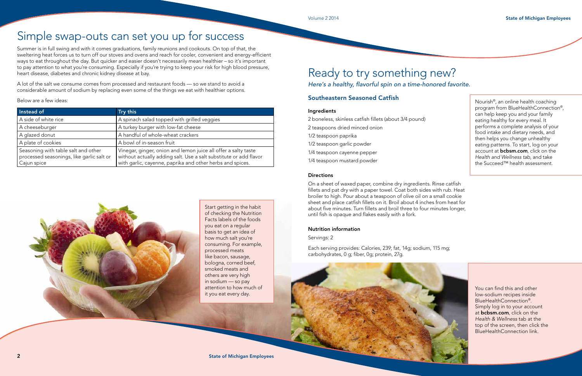You can find this and other low-sodium recipes inside BlueHealthConnection®. Simply log in to your account at bcbsm.com, click on the *Health & Wellness* tab at the top of the screen, then click the BlueHealthConnection link.

# Ready to try something new? *Here's a healthy, flavorful spin on a time-honored favorite.*

### Southeastern Seasoned Catfish

#### Ingredients

- 2 boneless, skinless catfish fillets (about 3/4 pound)
- 2 teaspoons dried minced onion
- 1/2 teaspoon paprika
- 1/2 teaspoon garlic powder
- 1/4 teaspoon cayenne pepper
- 1/4 teaspoon mustard powder

#### **Directions**

On a sheet of waxed paper, combine dry ingredients. Rinse catfish fillets and pat dry with a paper towel. Coat both sides with rub. Heat broiler to high. Pour about a teaspoon of olive oil on a small cookie sheet and place catfish fillets on it. Broil about 4 inches from heat for about five minutes. Turn fillets and broil three to four minutes longer, until fish is opaque and flakes easily with a fork.

#### Nutrition information

Servings: 2

Each serving provides: Calories, 239; fat, 14g; sodium, 115 mg; carbohydrates, 0 g; fiber, 0g; protein, 27g.



Below are a few ideas: Nourish®, an online health coaching program from BlueHealthConnection®, can help keep you and your family eating healthy for every meal. It performs a complete analysis of your food intake and dietary needs, and then helps you change unhealthy eating patterns. To start, log on your account at **bcbsm.com**, click on the *Health and Wellness tab*, and take the Succeed™ health assessment.

# Simple swap-outs can set you up for success

Summer is in full swing and with it comes graduations, family reunions and cookouts. On top of that, the sweltering heat forces us to turn off our stoves and ovens and reach for cooler, convenient and energy-efficient ways to eat throughout the day. But quicker and easier doesn't necessarily mean healthier – so it's important to pay attention to what you're consuming. Especially if you're trying to keep your risk for high blood pressure, heart disease, diabetes and chronic kidney disease at bay.

A lot of the salt we consume comes from processed and restaurant foods — so we stand to avoid a considerable amount of sodium by replacing even some of the things we eat with healthier options.

| Instead of                                                                                      | Try this                                                                                                                                                                                         |
|-------------------------------------------------------------------------------------------------|--------------------------------------------------------------------------------------------------------------------------------------------------------------------------------------------------|
| A side of white rice                                                                            | A spinach salad topped with grilled veggies                                                                                                                                                      |
| A cheeseburger                                                                                  | A turkey burger with low-fat cheese                                                                                                                                                              |
| A glazed donut                                                                                  | A handful of whole-wheat crackers                                                                                                                                                                |
| A plate of cookies                                                                              | A bowl of in-season fruit                                                                                                                                                                        |
| Seasoning with table salt and other<br>processed seasonings, like garlic salt or<br>Cajun spice | Vinegar, ginger, onion and lemon juice all offer a salty taste<br>without actually adding salt. Use a salt substitute or add flavor<br>with garlic, cayenne, paprika and other herbs and spices. |



Start getting in the habit of checking the Nutrition Facts labels of the foods you eat on a regular basis to get an idea of how much salt you're consuming. For example, processed meats like bacon, sausage, bologna, corned beef, smoked meats and others are very high in sodium — so pay attention to how much of it you eat every day.